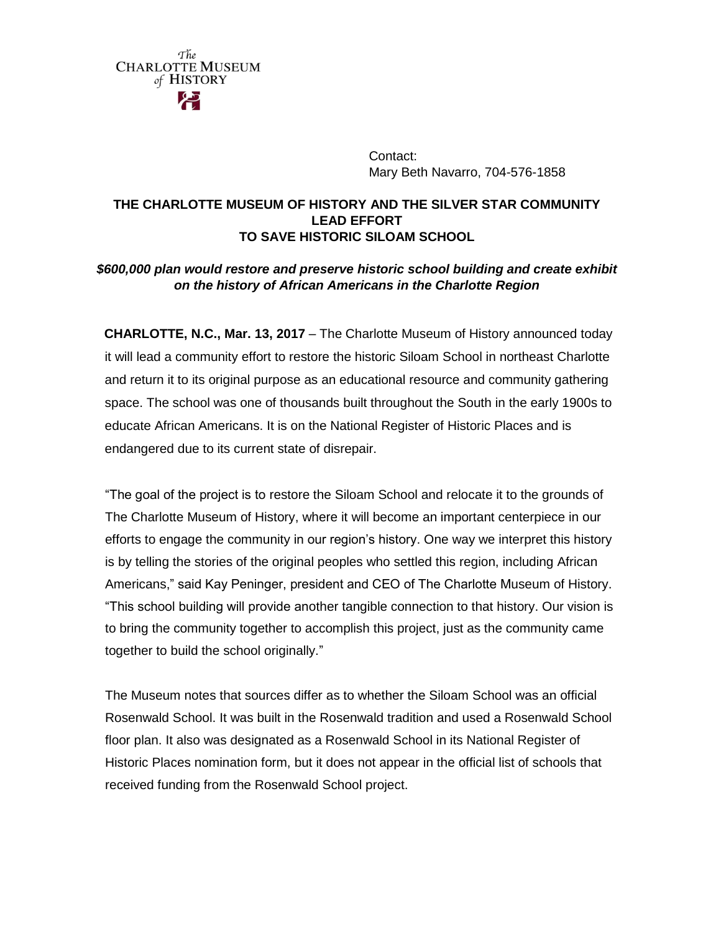> Contact: Mary Beth Navarro, 704-576-1858

## **THE CHARLOTTE MUSEUM OF HISTORY AND THE SILVER STAR COMMUNITY LEAD EFFORT TO SAVE HISTORIC SILOAM SCHOOL**

## *\$600,000 plan would restore and preserve historic school building and create exhibit on the history of African Americans in the Charlotte Region*

**CHARLOTTE, N.C., Mar. 13, 2017** – The Charlotte Museum of History announced today it will lead a community effort to restore the historic Siloam School in northeast Charlotte and return it to its original purpose as an educational resource and community gathering space. The school was one of thousands built throughout the South in the early 1900s to educate African Americans. It is on the National Register of Historic Places and is endangered due to its current state of disrepair.

"The goal of the project is to restore the Siloam School and relocate it to the grounds of The Charlotte Museum of History, where it will become an important centerpiece in our efforts to engage the community in our region's history. One way we interpret this history is by telling the stories of the original peoples who settled this region, including African Americans," said Kay Peninger, president and CEO of The Charlotte Museum of History. "This school building will provide another tangible connection to that history. Our vision is to bring the community together to accomplish this project, just as the community came together to build the school originally."

The Museum notes that sources differ as to whether the Siloam School was an official Rosenwald School. It was built in the Rosenwald tradition and used a Rosenwald School floor plan. It also was designated as a Rosenwald School in its National Register of Historic Places nomination form, but it does not appear in the official list of schools that received funding from the Rosenwald School project.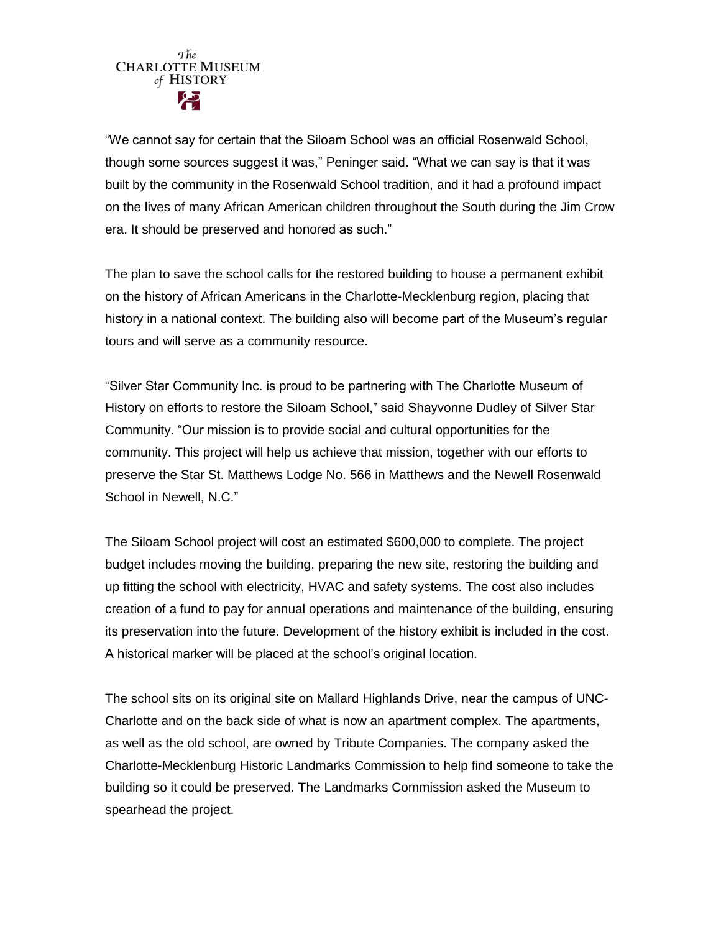"We cannot say for certain that the Siloam School was an official Rosenwald School, though some sources suggest it was," Peninger said. "What we can say is that it was built by the community in the Rosenwald School tradition, and it had a profound impact on the lives of many African American children throughout the South during the Jim Crow era. It should be preserved and honored as such."

The plan to save the school calls for the restored building to house a permanent exhibit on the history of African Americans in the Charlotte-Mecklenburg region, placing that history in a national context. The building also will become part of the Museum's regular tours and will serve as a community resource.

"Silver Star Community Inc. is proud to be partnering with The Charlotte Museum of History on efforts to restore the Siloam School," said Shayvonne Dudley of Silver Star Community. "Our mission is to provide social and cultural opportunities for the community. This project will help us achieve that mission, together with our efforts to preserve the Star St. Matthews Lodge No. 566 in Matthews and the Newell Rosenwald School in Newell, N.C."

The Siloam School project will cost an estimated \$600,000 to complete. The project budget includes moving the building, preparing the new site, restoring the building and up fitting the school with electricity, HVAC and safety systems. The cost also includes creation of a fund to pay for annual operations and maintenance of the building, ensuring its preservation into the future. Development of the history exhibit is included in the cost. A historical marker will be placed at the school's original location.

The school sits on its original site on Mallard Highlands Drive, near the campus of UNC-Charlotte and on the back side of what is now an apartment complex. The apartments, as well as the old school, are owned by Tribute Companies. The company asked the Charlotte-Mecklenburg Historic Landmarks Commission to help find someone to take the building so it could be preserved. The Landmarks Commission asked the Museum to spearhead the project.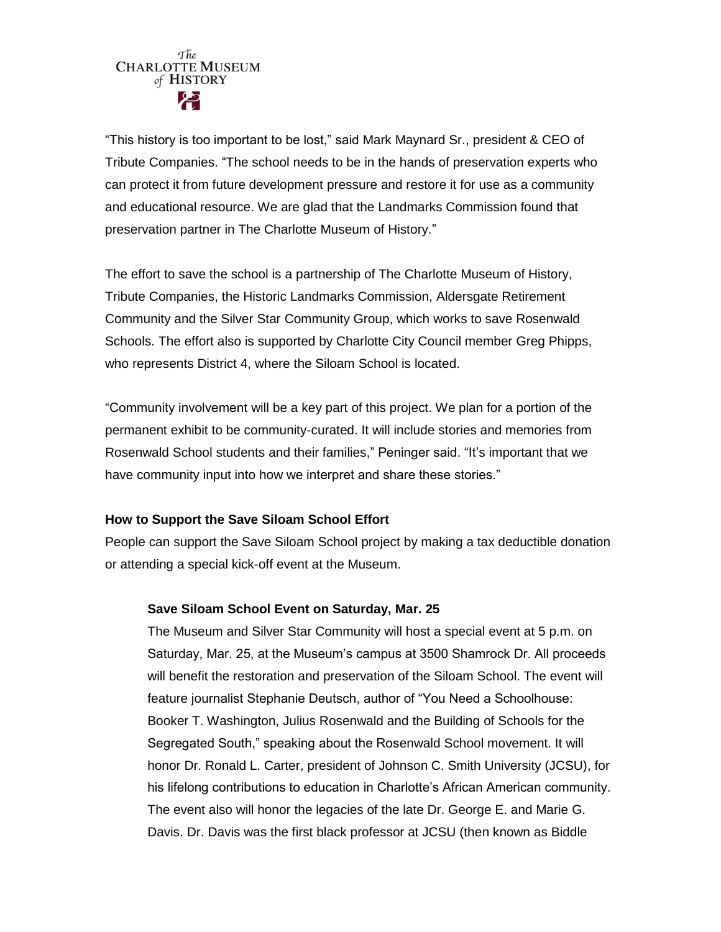"This history is too important to be lost," said Mark Maynard Sr., president & CEO of Tribute Companies. "The school needs to be in the hands of preservation experts who can protect it from future development pressure and restore it for use as a community and educational resource. We are glad that the Landmarks Commission found that preservation partner in The Charlotte Museum of History."

The effort to save the school is a partnership of The Charlotte Museum of History, Tribute Companies, the Historic Landmarks Commission, Aldersgate Retirement Community and the Silver Star Community Group, which works to save Rosenwald Schools. The effort also is supported by Charlotte City Council member Greg Phipps, who represents District 4, where the Siloam School is located.

"Community involvement will be a key part of this project. We plan for a portion of the permanent exhibit to be community-curated. It will include stories and memories from Rosenwald School students and their families," Peninger said. "It's important that we have community input into how we interpret and share these stories."

### **How to Support the Save Siloam School Effort**

People can support the Save Siloam School project by making a tax deductible donation or attending a special kick-off event at the Museum.

## **Save Siloam School Event on Saturday, Mar. 25**

The Museum and Silver Star Community will host a special event at 5 p.m. on Saturday, Mar. 25, at the Museum's campus at 3500 Shamrock Dr. All proceeds will benefit the restoration and preservation of the Siloam School. The event will feature journalist Stephanie Deutsch, author of "You Need a Schoolhouse: Booker T. Washington, Julius Rosenwald and the Building of Schools for the Segregated South," speaking about the Rosenwald School movement. It will honor Dr. Ronald L. Carter, president of Johnson C. Smith University (JCSU), for his lifelong contributions to education in Charlotte's African American community. The event also will honor the legacies of the late Dr. George E. and Marie G. Davis. Dr. Davis was the first black professor at JCSU (then known as Biddle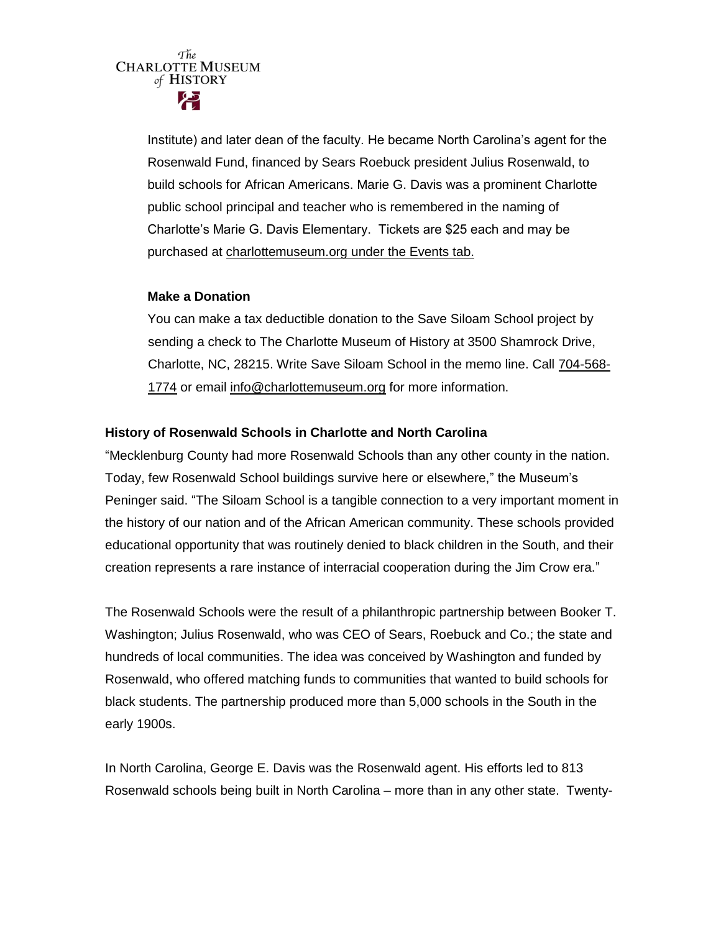Institute) and later dean of the faculty. He became North Carolina's agent for the Rosenwald Fund, financed by Sears Roebuck president Julius Rosenwald, to build schools for African Americans. Marie G. Davis was a prominent Charlotte public school principal and teacher who is remembered in the naming of Charlotte's Marie G. Davis Elementary. Tickets are \$25 each and may be purchased at [charlottemuseum.org under the Events tab.](http://charlottemuseum.org/tc-events/)

### **Make a Donation**

You can make a tax deductible donation to the Save Siloam School project by sending a check to The Charlotte Museum of History at 3500 Shamrock Drive, Charlotte, NC, 28215. Write Save Siloam School in the memo line. Call [704-568-](tel:%28704%29%20568-1774) [1774](tel:%28704%29%20568-1774) or email [info@charlottemuseum.org](mailto:info@charlottemuseum.org) for more information.

## **History of Rosenwald Schools in Charlotte and North Carolina**

"Mecklenburg County had more Rosenwald Schools than any other county in the nation. Today, few Rosenwald School buildings survive here or elsewhere," the Museum's Peninger said. "The Siloam School is a tangible connection to a very important moment in the history of our nation and of the African American community. These schools provided educational opportunity that was routinely denied to black children in the South, and their creation represents a rare instance of interracial cooperation during the Jim Crow era."

The Rosenwald Schools were the result of a philanthropic partnership between Booker T. Washington; Julius Rosenwald, who was CEO of Sears, Roebuck and Co.; the state and hundreds of local communities. The idea was conceived by Washington and funded by Rosenwald, who offered matching funds to communities that wanted to build schools for black students. The partnership produced more than 5,000 schools in the South in the early 1900s.

In North Carolina, George E. Davis was the Rosenwald agent. His efforts led to 813 Rosenwald schools being built in North Carolina – more than in any other state. Twenty-